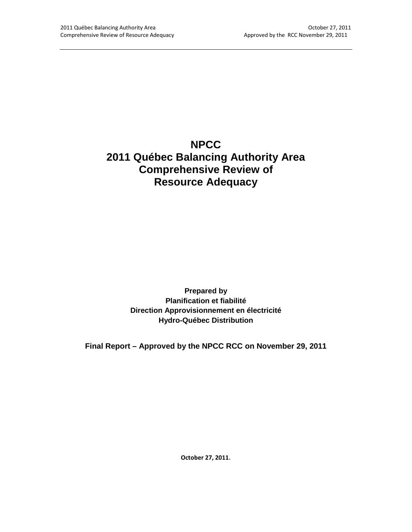# **NPCC 2011 Québec Balancing Authority Area Comprehensive Review of Resource Adequacy**

**Prepared by Planification et fiabilité Direction Approvisionnement en électricité Hydro-Québec Distribution** 

**Final Report – Approved by the NPCC RCC on November 29, 2011**

**October 27, 2011**.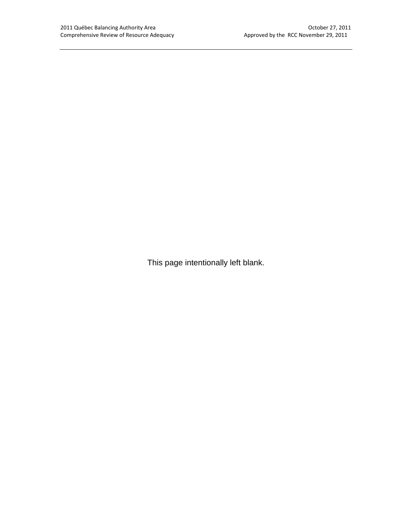This page intentionally left blank.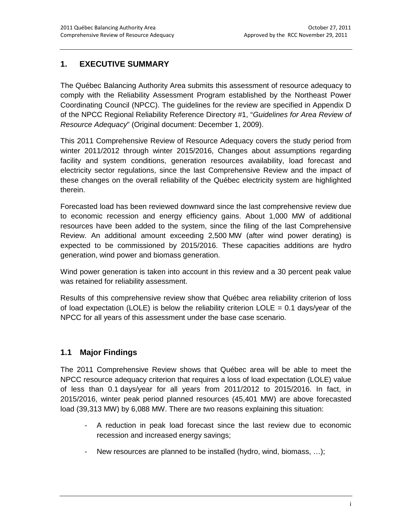## **1. EXECUTIVE SUMMARY**

The Québec Balancing Authority Area submits this assessment of resource adequacy to comply with the Reliability Assessment Program established by the Northeast Power Coordinating Council (NPCC). The guidelines for the review are specified in Appendix D of the NPCC Regional Reliability Reference Directory #1, "Guidelines for Area Review of Resource Adequacy" (Original document: December 1, 2009).

This 2011 Comprehensive Review of Resource Adequacy covers the study period from winter 2011/2012 through winter 2015/2016, Changes about assumptions regarding facility and system conditions, generation resources availability, load forecast and electricity sector regulations, since the last Comprehensive Review and the impact of these changes on the overall reliability of the Québec electricity system are highlighted therein.

Forecasted load has been reviewed downward since the last comprehensive review due to economic recession and energy efficiency gains. About 1,000 MW of additional resources have been added to the system, since the filing of the last Comprehensive Review. An additional amount exceeding 2,500 MW (after wind power derating) is expected to be commissioned by 2015/2016. These capacities additions are hydro generation, wind power and biomass generation.

Wind power generation is taken into account in this review and a 30 percent peak value was retained for reliability assessment.

Results of this comprehensive review show that Québec area reliability criterion of loss of load expectation (LOLE) is below the reliability criterion LOLE =  $0.1$  days/year of the NPCC for all years of this assessment under the base case scenario.

## **1.1 Major Findings**

The 2011 Comprehensive Review shows that Québec area will be able to meet the NPCC resource adequacy criterion that requires a loss of load expectation (LOLE) value of less than 0.1 days/year for all years from 2011/2012 to 2015/2016. In fact, in 2015/2016, winter peak period planned resources (45,401 MW) are above forecasted load (39,313 MW) by 6,088 MW. There are two reasons explaining this situation:

- A reduction in peak load forecast since the last review due to economic recession and increased energy savings;
- New resources are planned to be installed (hydro, wind, biomass, …);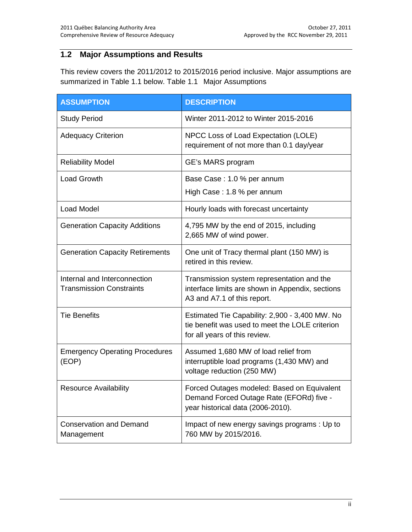# **1.2 Major Assumptions and Results**

This review covers the 2011/2012 to 2015/2016 period inclusive. Major assumptions are summarized in Table 1.1 below. Table 1.1 Major Assumptions

| <b>ASSUMPTION</b>                                               | <b>DESCRIPTION</b>                                                                                                                 |
|-----------------------------------------------------------------|------------------------------------------------------------------------------------------------------------------------------------|
| <b>Study Period</b>                                             | Winter 2011-2012 to Winter 2015-2016                                                                                               |
| <b>Adequacy Criterion</b>                                       | NPCC Loss of Load Expectation (LOLE)<br>requirement of not more than 0.1 day/year                                                  |
| <b>Reliability Model</b>                                        | GE's MARS program                                                                                                                  |
| <b>Load Growth</b>                                              | Base Case: 1.0 % per annum<br>High Case: 1.8 % per annum                                                                           |
| <b>Load Model</b>                                               | Hourly loads with forecast uncertainty                                                                                             |
| <b>Generation Capacity Additions</b>                            | 4,795 MW by the end of 2015, including<br>2,665 MW of wind power.                                                                  |
| <b>Generation Capacity Retirements</b>                          | One unit of Tracy thermal plant (150 MW) is<br>retired in this review.                                                             |
| Internal and Interconnection<br><b>Transmission Constraints</b> | Transmission system representation and the<br>interface limits are shown in Appendix, sections<br>A3 and A7.1 of this report.      |
| <b>Tie Benefits</b>                                             | Estimated Tie Capability: 2,900 - 3,400 MW. No<br>tie benefit was used to meet the LOLE criterion<br>for all years of this review. |
| <b>Emergency Operating Procedures</b><br>(EOP)                  | Assumed 1,680 MW of load relief from<br>interruptible load programs (1,430 MW) and<br>voltage reduction (250 MW)                   |
| <b>Resource Availability</b>                                    | Forced Outages modeled: Based on Equivalent<br>Demand Forced Outage Rate (EFORd) five -<br>year historical data (2006-2010).       |
| <b>Conservation and Demand</b><br>Management                    | Impact of new energy savings programs : Up to<br>760 MW by 2015/2016.                                                              |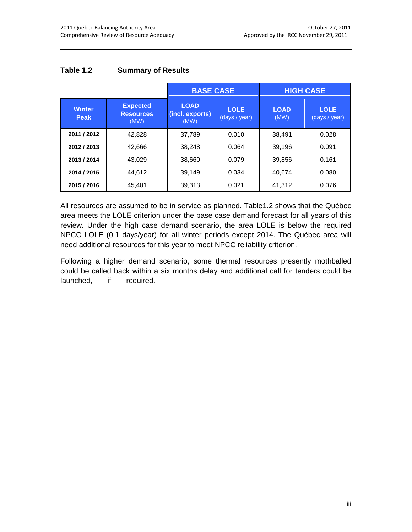|                              |                                             | <b>BASE CASE</b>                       |                              | <b>HIGH CASE</b>    |                              |
|------------------------------|---------------------------------------------|----------------------------------------|------------------------------|---------------------|------------------------------|
| <b>Winter</b><br><b>Peak</b> | <b>Expected</b><br><b>Resources</b><br>(MW) | <b>LOAD</b><br>(incl. exports)<br>(MW) | <b>LOLE</b><br>(days / year) | <b>LOAD</b><br>(MW) | <b>LOLE</b><br>(days / year) |
| 2011 / 2012                  | 42.828                                      | 37,789                                 | 0.010                        | 38.491              | 0.028                        |
| 2012 / 2013                  | 42,666                                      | 38,248                                 | 0.064                        | 39,196              | 0.091                        |
| 2013 / 2014                  | 43.029                                      | 38,660                                 | 0.079                        | 39,856              | 0.161                        |
| 2014 / 2015                  | 44,612                                      | 39,149                                 | 0.034                        | 40.674              | 0.080                        |
| 2015 / 2016                  | 45,401                                      | 39,313                                 | 0.021                        | 41,312              | 0.076                        |

## **Table 1.2 Summary of Results**

All resources are assumed to be in service as planned. Table1.2 shows that the Québec area meets the LOLE criterion under the base case demand forecast for all years of this review. Under the high case demand scenario, the area LOLE is below the required NPCC LOLE (0.1 days/year) for all winter periods except 2014. The Québec area will need additional resources for this year to meet NPCC reliability criterion.

Following a higher demand scenario, some thermal resources presently mothballed could be called back within a six months delay and additional call for tenders could be launched, if required.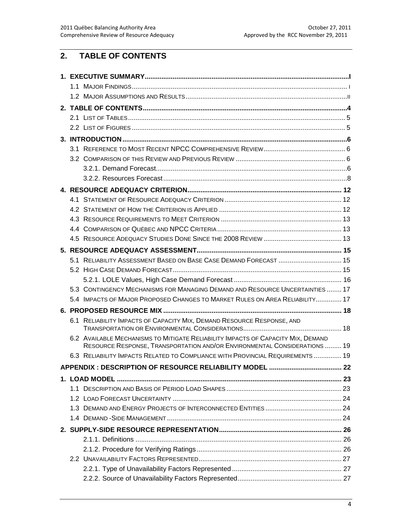# **2. TABLE OF CONTENTS**

| 5.1 RELIABILITY ASSESSMENT BASED ON BASE CASE DEMAND FORECAST  15                                                                                             |  |
|---------------------------------------------------------------------------------------------------------------------------------------------------------------|--|
|                                                                                                                                                               |  |
|                                                                                                                                                               |  |
| 5.3 CONTINGENCY MECHANISMS FOR MANAGING DEMAND AND RESOURCE UNCERTAINTIES  17                                                                                 |  |
| 5.4 IMPACTS OF MAJOR PROPOSED CHANGES TO MARKET RULES ON AREA RELIABILITY 17                                                                                  |  |
|                                                                                                                                                               |  |
| 6.1 RELIABILITY IMPACTS OF CAPACITY MIX, DEMAND RESOURCE RESPONSE, AND                                                                                        |  |
| 6.2 AVAILABLE MECHANISMS TO MITIGATE RELIABILITY IMPACTS OF CAPACITY MIX, DEMAND<br>RESOURCE RESPONSE, TRANSPORTATION AND/OR ENVIRONMENTAL CONSIDERATIONS  19 |  |
| 6.3 RELIABILITY IMPACTS RELATED TO COMPLIANCE WITH PROVINCIAL REQUIREMENTS  19                                                                                |  |
|                                                                                                                                                               |  |
|                                                                                                                                                               |  |
|                                                                                                                                                               |  |
|                                                                                                                                                               |  |
|                                                                                                                                                               |  |
|                                                                                                                                                               |  |
|                                                                                                                                                               |  |
|                                                                                                                                                               |  |
|                                                                                                                                                               |  |
|                                                                                                                                                               |  |
|                                                                                                                                                               |  |
|                                                                                                                                                               |  |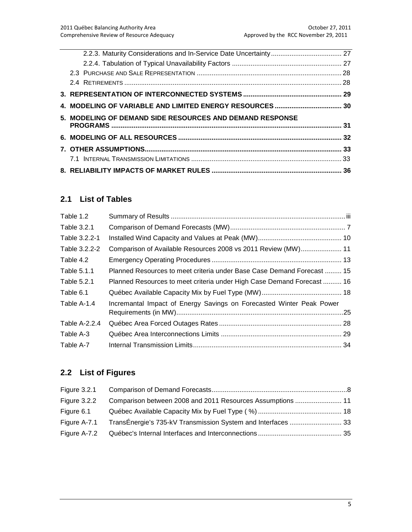| 5. MODELING OF DEMAND SIDE RESOURCES AND DEMAND RESPONSE |  |
|----------------------------------------------------------|--|
|                                                          |  |
|                                                          |  |
|                                                          |  |

# **2.1 List of Tables**

| Table 1.2     |                                                                        |  |
|---------------|------------------------------------------------------------------------|--|
| Table 3.2.1   |                                                                        |  |
| Table 3.2.2-1 |                                                                        |  |
| Table 3.2.2-2 | Comparison of Available Resources 2008 vs 2011 Review (MW) 11          |  |
| Table 4.2     |                                                                        |  |
| Table 5.1.1   | Planned Resources to meet criteria under Base Case Demand Forecast  15 |  |
| Table 5.2.1   | Planned Resources to meet criteria under High Case Demand Forecast  16 |  |
| Table 6.1     |                                                                        |  |
| Table A-1.4   | Incremantal Impact of Energy Savings on Forecasted Winter Peak Power   |  |
|               |                                                                        |  |
| Table A-2.2.4 |                                                                        |  |
| Table A-3     |                                                                        |  |
| Table A-7     |                                                                        |  |

# **2.2 List of Figures**

| Figure $3.2.2$ | Comparison between 2008 and 2011 Resources Assumptions  11   |  |
|----------------|--------------------------------------------------------------|--|
| Figure 6.1     |                                                              |  |
| Figure A-7.1   | TransÉnergie's 735-kV Transmission System and Interfaces  33 |  |
|                |                                                              |  |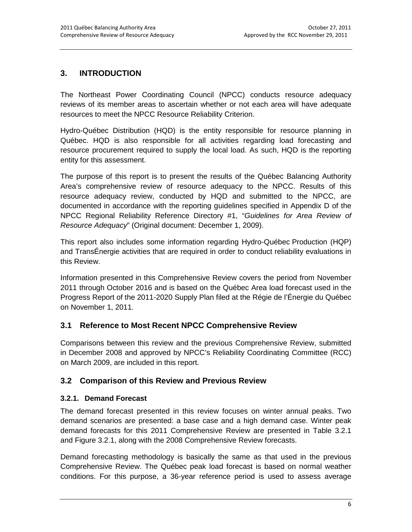## **3. INTRODUCTION**

The Northeast Power Coordinating Council (NPCC) conducts resource adequacy reviews of its member areas to ascertain whether or not each area will have adequate resources to meet the NPCC Resource Reliability Criterion.

Hydro-Québec Distribution (HQD) is the entity responsible for resource planning in Québec. HQD is also responsible for all activities regarding load forecasting and resource procurement required to supply the local load. As such, HQD is the reporting entity for this assessment.

The purpose of this report is to present the results of the Québec Balancing Authority Area's comprehensive review of resource adequacy to the NPCC. Results of this resource adequacy review, conducted by HQD and submitted to the NPCC, are documented in accordance with the reporting guidelines specified in Appendix D of the NPCC Regional Reliability Reference Directory #1, "Guidelines for Area Review of Resource Adequacy" (Original document: December 1, 2009).

This report also includes some information regarding Hydro-Québec Production (HQP) and TransÉnergie activities that are required in order to conduct reliability evaluations in this Review.

Information presented in this Comprehensive Review covers the period from November 2011 through October 2016 and is based on the Québec Area load forecast used in the Progress Report of the 2011-2020 Supply Plan filed at the Régie de l'Énergie du Québec on November 1, 2011.

### **3.1 Reference to Most Recent NPCC Comprehensive Review**

Comparisons between this review and the previous Comprehensive Review, submitted in December 2008 and approved by NPCC's Reliability Coordinating Committee (RCC) on March 2009, are included in this report.

### **3.2 Comparison of this Review and Previous Review**

### **3.2.1. Demand Forecast**

The demand forecast presented in this review focuses on winter annual peaks. Two demand scenarios are presented: a base case and a high demand case. Winter peak demand forecasts for this 2011 Comprehensive Review are presented in Table 3.2.1 and Figure 3.2.1, along with the 2008 Comprehensive Review forecasts.

Demand forecasting methodology is basically the same as that used in the previous Comprehensive Review. The Québec peak load forecast is based on normal weather conditions. For this purpose, a 36-year reference period is used to assess average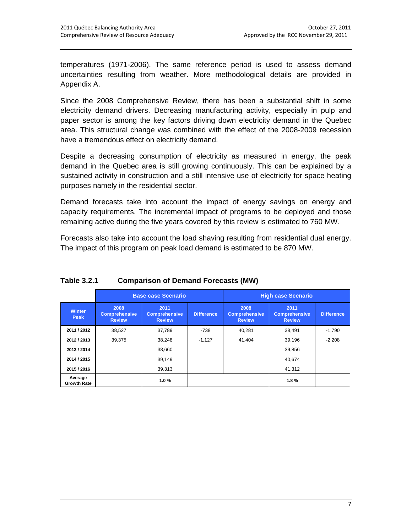temperatures (1971-2006). The same reference period is used to assess demand uncertainties resulting from weather. More methodological details are provided in Appendix A.

Since the 2008 Comprehensive Review, there has been a substantial shift in some electricity demand drivers. Decreasing manufacturing activity, especially in pulp and paper sector is among the key factors driving down electricity demand in the Quebec area. This structural change was combined with the effect of the 2008-2009 recession have a tremendous effect on electricity demand.

Despite a decreasing consumption of electricity as measured in energy, the peak demand in the Quebec area is still growing continuously. This can be explained by a sustained activity in construction and a still intensive use of electricity for space heating purposes namely in the residential sector.

Demand forecasts take into account the impact of energy savings on energy and capacity requirements. The incremental impact of programs to be deployed and those remaining active during the five years covered by this review is estimated to 760 MW.

Forecasts also take into account the load shaving resulting from residential dual energy. The impact of this program on peak load demand is estimated to be 870 MW.

|                               | <b>Base case Scenario</b>                     |                                               | <b>High case Scenario</b> |                                               |                                               |                   |
|-------------------------------|-----------------------------------------------|-----------------------------------------------|---------------------------|-----------------------------------------------|-----------------------------------------------|-------------------|
| <b>Winter</b><br>Peak         | 2008<br><b>Comprehensive</b><br><b>Review</b> | 2011<br><b>Comprehensive</b><br><b>Review</b> | <b>Difference</b>         | 2008<br><b>Comprehensive</b><br><b>Review</b> | 2011<br><b>Comprehensive</b><br><b>Review</b> | <b>Difference</b> |
| 2011 / 2012                   | 38.527                                        | 37.789                                        | -738                      | 40.281                                        | 38.491                                        | $-1.790$          |
| 2012 / 2013                   | 39.375                                        | 38.248                                        | $-1.127$                  | 41.404                                        | 39.196                                        | $-2,208$          |
| 2013 / 2014                   |                                               | 38.660                                        |                           |                                               | 39.856                                        |                   |
| 2014 / 2015                   |                                               | 39.149                                        |                           |                                               | 40.674                                        |                   |
| 2015 / 2016                   |                                               | 39,313                                        |                           |                                               | 41,312                                        |                   |
| Average<br><b>Growth Rate</b> |                                               | 1.0%                                          |                           |                                               | 1.8%                                          |                   |

**Table 3.2.1 Comparison of Demand Forecasts (MW)**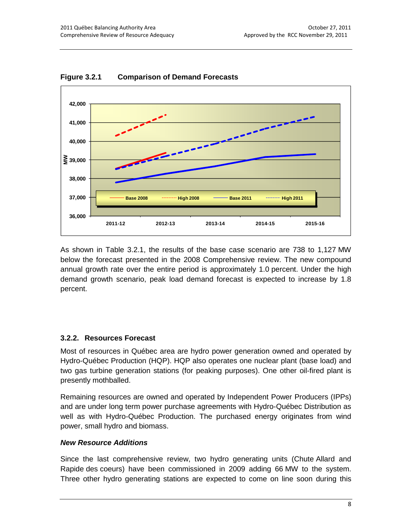

**Figure 3.2.1 Comparison of Demand Forecasts** 

As shown in Table 3.2.1, the results of the base case scenario are 738 to 1,127 MW below the forecast presented in the 2008 Comprehensive review. The new compound annual growth rate over the entire period is approximately 1.0 percent. Under the high demand growth scenario, peak load demand forecast is expected to increase by 1.8 percent.

### **3.2.2. Resources Forecast**

Most of resources in Québec area are hydro power generation owned and operated by Hydro-Québec Production (HQP). HQP also operates one nuclear plant (base load) and two gas turbine generation stations (for peaking purposes). One other oil-fired plant is presently mothballed.

Remaining resources are owned and operated by Independent Power Producers (IPPs) and are under long term power purchase agreements with Hydro-Québec Distribution as well as with Hydro-Québec Production. The purchased energy originates from wind power, small hydro and biomass.

#### **New Resource Additions**

Since the last comprehensive review, two hydro generating units (Chute Allard and Rapide des coeurs) have been commissioned in 2009 adding 66 MW to the system. Three other hydro generating stations are expected to come on line soon during this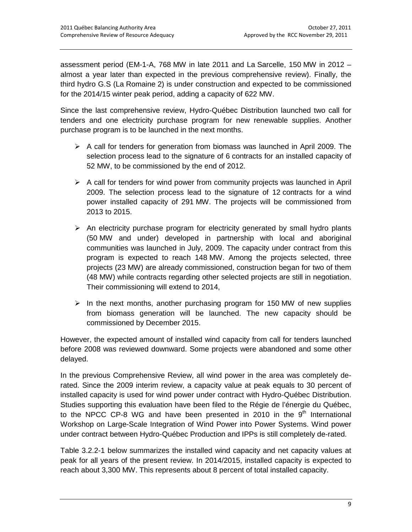assessment period (EM-1-A, 768 MW in late 2011 and La Sarcelle, 150 MW in 2012 – almost a year later than expected in the previous comprehensive review). Finally, the third hydro G.S (La Romaine 2) is under construction and expected to be commissioned for the 2014/15 winter peak period, adding a capacity of 622 MW.

Since the last comprehensive review, Hydro-Québec Distribution launched two call for tenders and one electricity purchase program for new renewable supplies. Another purchase program is to be launched in the next months.

- $\triangleright$  A call for tenders for generation from biomass was launched in April 2009. The selection process lead to the signature of 6 contracts for an installed capacity of 52 MW, to be commissioned by the end of 2012.
- $\triangleright$  A call for tenders for wind power from community projects was launched in April 2009. The selection process lead to the signature of 12 contracts for a wind power installed capacity of 291 MW. The projects will be commissioned from 2013 to 2015.
- $\triangleright$  An electricity purchase program for electricity generated by small hydro plants (50 MW and under) developed in partnership with local and aboriginal communities was launched in July, 2009. The capacity under contract from this program is expected to reach 148 MW. Among the projects selected, three projects (23 MW) are already commissioned, construction began for two of them (48 MW) while contracts regarding other selected projects are still in negotiation. Their commissioning will extend to 2014,
- $\triangleright$  In the next months, another purchasing program for 150 MW of new supplies from biomass generation will be launched. The new capacity should be commissioned by December 2015.

However, the expected amount of installed wind capacity from call for tenders launched before 2008 was reviewed downward. Some projects were abandoned and some other delayed.

In the previous Comprehensive Review, all wind power in the area was completely derated. Since the 2009 interim review, a capacity value at peak equals to 30 percent of installed capacity is used for wind power under contract with Hydro-Québec Distribution. Studies supporting this evaluation have been filed to the Régie de l'énergie du Québec, to the NPCC CP-8 WG and have been presented in 2010 in the  $9<sup>th</sup>$  International Workshop on Large-Scale Integration of Wind Power into Power Systems. Wind power under contract between Hydro-Québec Production and IPPs is still completely de-rated.

Table 3.2.2-1 below summarizes the installed wind capacity and net capacity values at peak for all years of the present review. In 2014/2015, installed capacity is expected to reach about 3,300 MW. This represents about 8 percent of total installed capacity.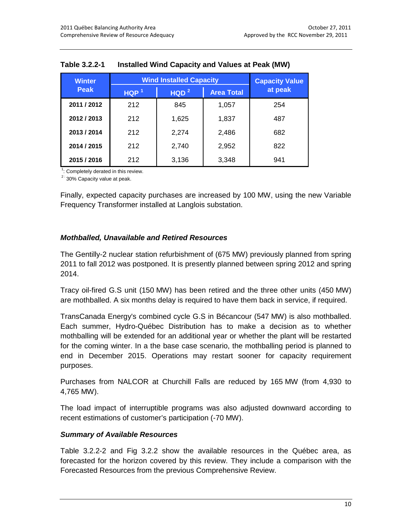| <b>Winter</b> | <b>Wind Installed Capacity</b> | <b>Capacity Value</b> |                   |         |  |
|---------------|--------------------------------|-----------------------|-------------------|---------|--|
| <b>Peak</b>   | HQP $1$                        | HQD <sup>2</sup>      | <b>Area Total</b> | at peak |  |
| 2011 / 2012   | 212                            | 845                   | 1,057             | 254     |  |
| 2012 / 2013   | 212                            | 1,625                 | 1,837             | 487     |  |
| 2013 / 2014   | 212                            | 2,274                 | 2,486             | 682     |  |
| 2014 / 2015   | 212                            | 2,740                 | 2,952             | 822     |  |
| 2015 / 2016   | 212                            | 3,136                 | 3,348             | 941     |  |

| Table 3.2.2-1 | Installed Wind Capacity and Values at Peak (MW) |  |
|---------------|-------------------------------------------------|--|
|               |                                                 |  |

<sup>1</sup>: Completely derated in this review.

 $2:30\%$  Capacity value at peak.

Finally, expected capacity purchases are increased by 100 MW, using the new Variable Frequency Transformer installed at Langlois substation.

#### **Mothballed, Unavailable and Retired Resources**

The Gentilly-2 nuclear station refurbishment of (675 MW) previously planned from spring 2011 to fall 2012 was postponed. It is presently planned between spring 2012 and spring 2014.

Tracy oil-fired G.S unit (150 MW) has been retired and the three other units (450 MW) are mothballed. A six months delay is required to have them back in service, if required.

TransCanada Energy's combined cycle G.S in Bécancour (547 MW) is also mothballed. Each summer, Hydro-Québec Distribution has to make a decision as to whether mothballing will be extended for an additional year or whether the plant will be restarted for the coming winter. In a the base case scenario, the mothballing period is planned to end in December 2015. Operations may restart sooner for capacity requirement purposes.

Purchases from NALCOR at Churchill Falls are reduced by 165 MW (from 4,930 to 4,765 MW).

The load impact of interruptible programs was also adjusted downward according to recent estimations of customer's participation (-70 MW).

#### **Summary of Available Resources**

Table 3.2.2-2 and Fig 3.2.2 show the available resources in the Québec area, as forecasted for the horizon covered by this review. They include a comparison with the Forecasted Resources from the previous Comprehensive Review.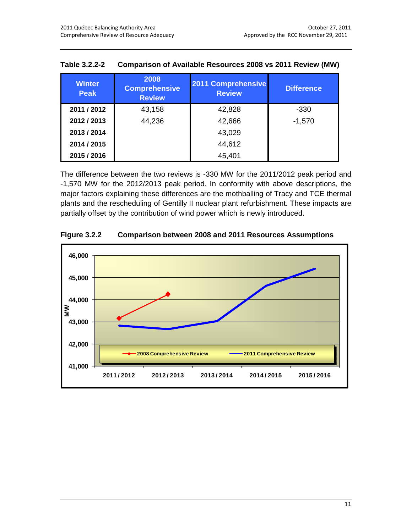| <b>Winter</b><br><b>Peak</b> | 2008<br><b>Comprehensive</b><br><b>Review</b> | <b>2011 Comprehensive</b><br><b>Review</b> | <b>Difference</b> |
|------------------------------|-----------------------------------------------|--------------------------------------------|-------------------|
| 2011 / 2012                  | 43,158                                        | 42,828                                     | $-330$            |
| 2012 / 2013                  | 44,236                                        | 42,666                                     | $-1,570$          |
| 2013 / 2014                  |                                               | 43,029                                     |                   |
| 2014 / 2015                  |                                               | 44,612                                     |                   |
| 2015 / 2016                  |                                               | 45,401                                     |                   |

| Table 3.2.2-2 Comparison of Available Resources 2008 vs 2011 Review (MW) |  |
|--------------------------------------------------------------------------|--|
|                                                                          |  |

The difference between the two reviews is -330 MW for the 2011/2012 peak period and -1,570 MW for the 2012/2013 peak period. In conformity with above descriptions, the major factors explaining these differences are the mothballing of Tracy and TCE thermal plants and the rescheduling of Gentilly II nuclear plant refurbishment. These impacts are partially offset by the contribution of wind power which is newly introduced.



**Figure 3.2.2 Comparison between 2008 and 2011 Resources Assumptions**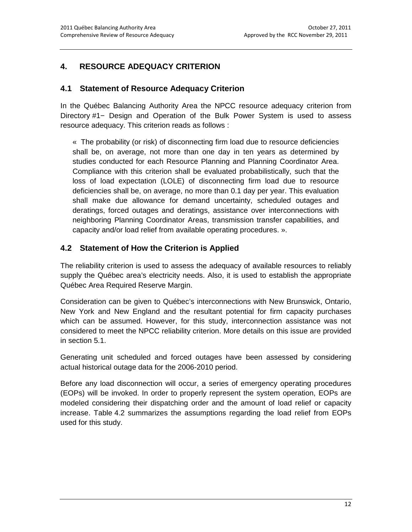## **4. RESOURCE ADEQUACY CRITERION**

### **4.1 Statement of Resource Adequacy Criterion**

In the Québec Balancing Authority Area the NPCC resource adequacy criterion from Directory #1− Design and Operation of the Bulk Power System is used to assess resource adequacy. This criterion reads as follows :

« The probability (or risk) of disconnecting firm load due to resource deficiencies shall be, on average, not more than one day in ten years as determined by studies conducted for each Resource Planning and Planning Coordinator Area. Compliance with this criterion shall be evaluated probabilistically, such that the loss of load expectation (LOLE) of disconnecting firm load due to resource deficiencies shall be, on average, no more than 0.1 day per year. This evaluation shall make due allowance for demand uncertainty, scheduled outages and deratings, forced outages and deratings, assistance over interconnections with neighboring Planning Coordinator Areas, transmission transfer capabilities, and capacity and/or load relief from available operating procedures. ».

## **4.2 Statement of How the Criterion is Applied**

The reliability criterion is used to assess the adequacy of available resources to reliably supply the Québec area's electricity needs. Also, it is used to establish the appropriate Québec Area Required Reserve Margin.

Consideration can be given to Québec's interconnections with New Brunswick, Ontario, New York and New England and the resultant potential for firm capacity purchases which can be assumed. However, for this study, interconnection assistance was not considered to meet the NPCC reliability criterion. More details on this issue are provided in section 5.1.

Generating unit scheduled and forced outages have been assessed by considering actual historical outage data for the 2006-2010 period.

Before any load disconnection will occur, a series of emergency operating procedures (EOPs) will be invoked. In order to properly represent the system operation, EOPs are modeled considering their dispatching order and the amount of load relief or capacity increase. Table 4.2 summarizes the assumptions regarding the load relief from EOPs used for this study.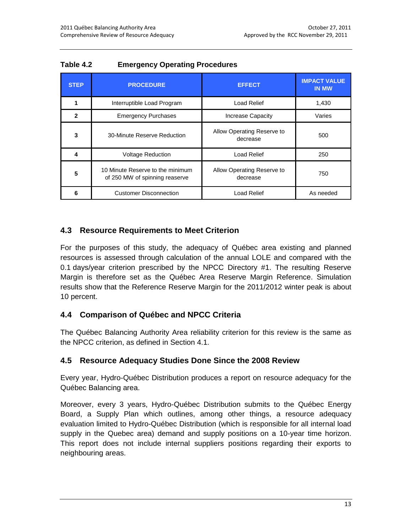| <b>STEP</b>  | <b>PROCEDURE</b>                                                   | <b>EFFECT</b>                          | <b>IMPACT VALUE</b><br><b>IN MW</b> |
|--------------|--------------------------------------------------------------------|----------------------------------------|-------------------------------------|
|              | Interruptible Load Program                                         | Load Relief                            | 1,430                               |
| $\mathbf{2}$ | <b>Emergency Purchases</b>                                         | <b>Increase Capacity</b>               | Varies                              |
| 3            | 30-Minute Reserve Reduction                                        | Allow Operating Reserve to<br>decrease | 500                                 |
| 4            | <b>Voltage Reduction</b>                                           | <b>Load Relief</b>                     | 250                                 |
| 5            | 10 Minute Reserve to the minimum<br>of 250 MW of spinning reaserve | Allow Operating Reserve to<br>decrease | 750                                 |
| 6            | <b>Customer Disconnection</b>                                      | <b>Load Relief</b>                     | As needed                           |

### **Table 4.2 Emergency Operating Procedures**

## **4.3 Resource Requirements to Meet Criterion**

For the purposes of this study, the adequacy of Québec area existing and planned resources is assessed through calculation of the annual LOLE and compared with the 0.1 days/year criterion prescribed by the NPCC Directory #1. The resulting Reserve Margin is therefore set as the Québec Area Reserve Margin Reference. Simulation results show that the Reference Reserve Margin for the 2011/2012 winter peak is about 10 percent.

### **4.4 Comparison of Québec and NPCC Criteria**

The Québec Balancing Authority Area reliability criterion for this review is the same as the NPCC criterion, as defined in Section 4.1.

### **4.5 Resource Adequacy Studies Done Since the 2008 Review**

Every year, Hydro-Québec Distribution produces a report on resource adequacy for the Québec Balancing area.

Moreover, every 3 years, Hydro-Québec Distribution submits to the Québec Energy Board, a Supply Plan which outlines, among other things, a resource adequacy evaluation limited to Hydro-Québec Distribution (which is responsible for all internal load supply in the Quebec area) demand and supply positions on a 10-year time horizon. This report does not include internal suppliers positions regarding their exports to neighbouring areas.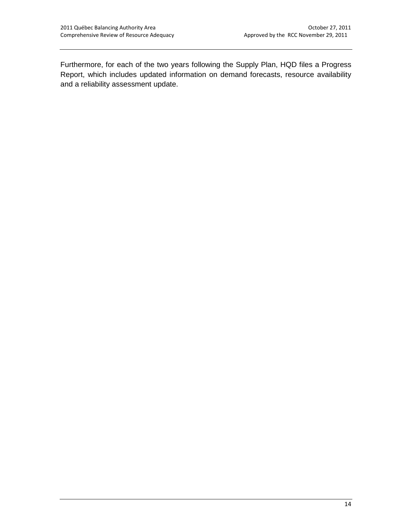Furthermore, for each of the two years following the Supply Plan, HQD files a Progress Report, which includes updated information on demand forecasts, resource availability and a reliability assessment update.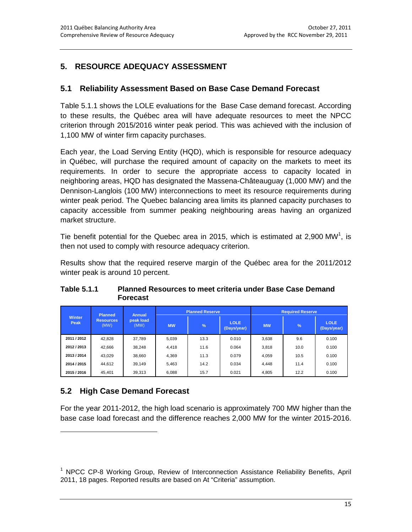## **5. RESOURCE ADEQUACY ASSESSMENT**

## **5.1 Reliability Assessment Based on Base Case Demand Forecast**

Table 5.1.1 shows the LOLE evaluations for the Base Case demand forecast. According to these results, the Québec area will have adequate resources to meet the NPCC criterion through 2015/2016 winter peak period. This was achieved with the inclusion of 1,100 MW of winter firm capacity purchases.

Each year, the Load Serving Entity (HQD), which is responsible for resource adequacy in Québec, will purchase the required amount of capacity on the markets to meet its requirements. In order to secure the appropriate access to capacity located in neighboring areas, HQD has designated the Massena-Châteauguay (1,000 MW) and the Dennison-Langlois (100 MW) interconnections to meet its resource requirements during winter peak period. The Quebec balancing area limits its planned capacity purchases to capacity accessible from summer peaking neighbouring areas having an organized market structure.

Tie benefit potential for the Quebec area in 2015, which is estimated at 2,900 MW<sup>1</sup>, is then not used to comply with resource adequacy criterion.

Results show that the required reserve margin of the Québec area for the 2011/2012 winter peak is around 10 percent.

#### **Table 5.1.1 Planned Resources to meet criteria under Base Case Demand Forecast**

|                       | <b>Planned</b><br>Annual |                   | <b>Planned Reserve</b> |            |                            | <b>Required Reserve</b> |            |                            |
|-----------------------|--------------------------|-------------------|------------------------|------------|----------------------------|-------------------------|------------|----------------------------|
| <b>Winter</b><br>Peak | <b>Resources</b><br>(MW) | peak load<br>(MW) | <b>MW</b>              | $\sqrt{2}$ | <b>LOLE</b><br>(Days/year) | <b>MW</b>               | $\sqrt{2}$ | <b>LOLE</b><br>(Days/year) |
| 2011 / 2012           | 42.828                   | 37.789            | 5.039                  | 13.3       | 0.010                      | 3.638                   | 9.6        | 0.100                      |
| 2012 / 2013           | 42,666                   | 38,248            | 4,418                  | 11.6       | 0.064                      | 3.818                   | 10.0       | 0.100                      |
| 2013 / 2014           | 43,029                   | 38.660            | 4.369                  | 11.3       | 0.079                      | 4.059                   | 10.5       | 0.100                      |
| 2014 / 2015           | 44,612                   | 39.149            | 5,463                  | 14.2       | 0.034                      | 4.448                   | 11.4       | 0.100                      |
| 2015 / 2016           | 45,401                   | 39,313            | 6.088                  | 15.7       | 0.021                      | 4,805                   | 12.2       | 0.100                      |

## **5.2 High Case Demand Forecast**

For the year 2011-2012, the high load scenario is approximately 700 MW higher than the base case load forecast and the difference reaches 2,000 MW for the winter 2015-2016.

<sup>&</sup>lt;sup>1</sup> NPCC CP-8 Working Group, Review of Interconnection Assistance Reliability Benefits, April 2011, 18 pages. Reported results are based on At "Criteria" assumption.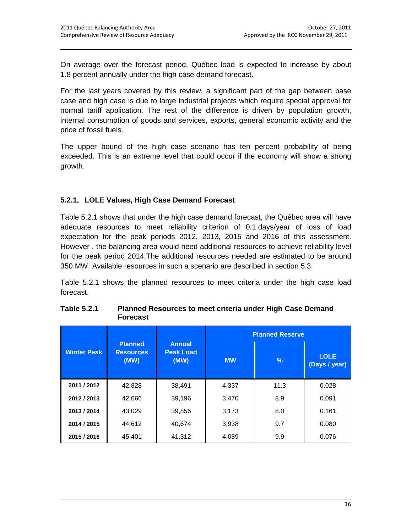On average over the forecast period, Québec load is expected to increase by about 1.8 percent annually under the high case demand forecast.

For the last years covered by this review, a significant part of the gap between base case and high case is due to large industrial projects which require special approval for normal tariff application. The rest of the difference is driven by population growth, internal consumption of goods and services, exports, general economic activity and the price of fossil fuels.

The upper bound of the high case scenario has ten percent probability of being exceeded. This is an extreme level that could occur if the economy will show a strong growth.

### **5.2.1. LOLE Values, High Case Demand Forecast**

Table 5.2.1 shows that under the high case demand forecast, the Québec area will have adequate resources to meet reliability criterion of 0.1 days/year of loss of load expectation for the peak periods 2012, 2013, 2015 and 2016 of this assessment. However , the balancing area would need additional resources to achieve reliability level for the peak period 2014.The additional resources needed are estimated to be around 350 MW. Available resources in such a scenario are described in section 5.3.

Table 5.2.1 shows the planned resources to meet criteria under the high case load forecast.

|                    | <b>Planned</b><br><b>Resources</b><br>(MW) | <b>Annual</b><br><b>Peak Load</b><br>(MW) | <b>Planned Reserve</b> |      |                              |  |
|--------------------|--------------------------------------------|-------------------------------------------|------------------------|------|------------------------------|--|
| <b>Winter Peak</b> |                                            |                                           | <b>MW</b>              | $\%$ | <b>LOLE</b><br>(Days / year) |  |
| 2011 / 2012        | 42,828                                     | 38,491                                    | 4,337                  | 11.3 | 0.028                        |  |
| 2012 / 2013        | 42,666                                     | 39,196                                    | 3,470                  | 8.9  | 0.091                        |  |
| 2013 / 2014        | 43,029                                     | 39,856                                    | 3,173                  | 8.0  | 0.161                        |  |
| 2014 / 2015        | 44,612                                     | 40,674                                    | 3,938                  | 9.7  | 0.080                        |  |
| 2015 / 2016        | 45,401                                     | 41,312                                    | 4,089                  | 9.9  | 0.076                        |  |

| <b>Table 5.2.1</b> | Planned Resources to meet criteria under High Case Demand |
|--------------------|-----------------------------------------------------------|
|                    | <b>Forecast</b>                                           |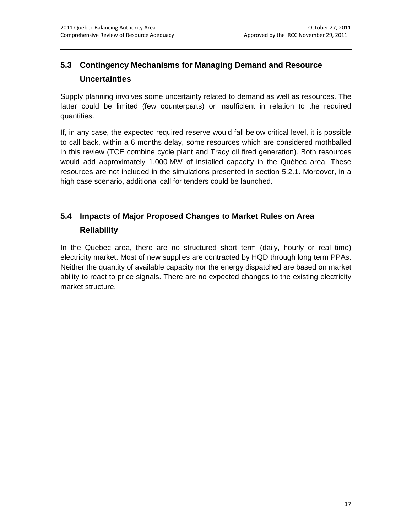# **5.3 Contingency Mechanisms for Managing Demand and Resource Uncertainties**

Supply planning involves some uncertainty related to demand as well as resources. The latter could be limited (few counterparts) or insufficient in relation to the required quantities.

If, in any case, the expected required reserve would fall below critical level, it is possible to call back, within a 6 months delay, some resources which are considered mothballed in this review (TCE combine cycle plant and Tracy oil fired generation). Both resources would add approximately 1,000 MW of installed capacity in the Québec area. These resources are not included in the simulations presented in section 5.2.1. Moreover, in a high case scenario, additional call for tenders could be launched.

# **5.4 Impacts of Major Proposed Changes to Market Rules on Area Reliability**

In the Quebec area, there are no structured short term (daily, hourly or real time) electricity market. Most of new supplies are contracted by HQD through long term PPAs. Neither the quantity of available capacity nor the energy dispatched are based on market ability to react to price signals. There are no expected changes to the existing electricity market structure.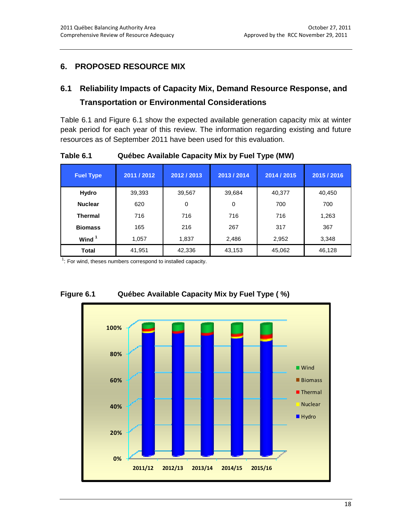## **6. PROPOSED RESOURCE MIX**

# **6.1 Reliability Impacts of Capacity Mix, Demand Resource Response, and Transportation or Environmental Considerations**

Table 6.1 and Figure 6.1 show the expected available generation capacity mix at winter peak period for each year of this review. The information regarding existing and future resources as of September 2011 have been used for this evaluation.

**Table 6.1 Québec Available Capacity Mix by Fuel Type (MW)** 

| <b>Fuel Type</b> | 2011 / 2012 | 2012 / 2013 | 2013 / 2014 | 2014 / 2015 | 2015 / 2016 |
|------------------|-------------|-------------|-------------|-------------|-------------|
| <b>Hydro</b>     | 39,393      | 39,567      | 39,684      | 40,377      | 40,450      |
| <b>Nuclear</b>   | 620         | $\mathbf 0$ | $\Omega$    | 700         | 700         |
| <b>Thermal</b>   | 716         | 716         | 716         | 716         | 1,263       |
| <b>Biomass</b>   | 165         | 216         | 267         | 317         | 367         |
| Wind $1$         | 1,057       | 1,837       | 2,486       | 2,952       | 3,348       |
| Total            | 41,951      | 42,336      | 43,153      | 45,062      | 46,128      |

 $1$ : For wind, theses numbers correspond to installed capacity.



### **Figure 6.1 Québec Available Capacity Mix by Fuel Type ( %)**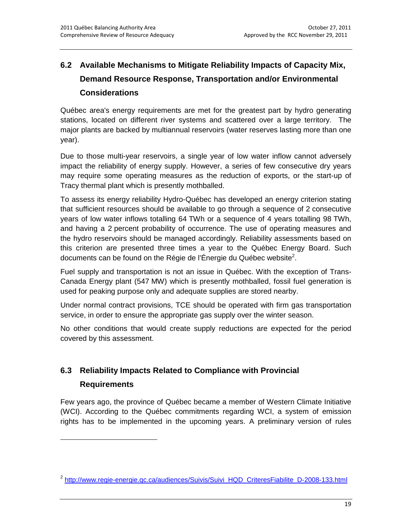# **6.2 Available Mechanisms to Mitigate Reliability Impacts of Capacity Mix, Demand Resource Response, Transportation and/or Environmental Considerations**

Québec area's energy requirements are met for the greatest part by hydro generating stations, located on different river systems and scattered over a large territory. The major plants are backed by multiannual reservoirs (water reserves lasting more than one year).

Due to those multi-year reservoirs, a single year of low water inflow cannot adversely impact the reliability of energy supply. However, a series of few consecutive dry years may require some operating measures as the reduction of exports, or the start-up of Tracy thermal plant which is presently mothballed.

To assess its energy reliability Hydro-Québec has developed an energy criterion stating that sufficient resources should be available to go through a sequence of 2 consecutive years of low water inflows totalling 64 TWh or a sequence of 4 years totalling 98 TWh, and having a 2 percent probability of occurrence. The use of operating measures and the hydro reservoirs should be managed accordingly. Reliability assessments based on this criterion are presented three times a year to the Québec Energy Board. Such documents can be found on the Régie de l'Énergie du Québec website<sup>2</sup>.

Fuel supply and transportation is not an issue in Québec. With the exception of Trans-Canada Energy plant (547 MW) which is presently mothballed, fossil fuel generation is used for peaking purpose only and adequate supplies are stored nearby.

Under normal contract provisions, TCE should be operated with firm gas transportation service, in order to ensure the appropriate gas supply over the winter season.

No other conditions that would create supply reductions are expected for the period covered by this assessment.

# **6.3 Reliability Impacts Related to Compliance with Provincial Requirements**

Few years ago, the province of Québec became a member of Western Climate Initiative (WCI). According to the Québec commitments regarding WCI, a system of emission rights has to be implemented in the upcoming years. A preliminary version of rules

<sup>&</sup>lt;sup>2</sup> http://www.regie-energie.qc.ca/audiences/Suivis/Suivi\_HQD\_CriteresFiabilite\_D-2008-133.html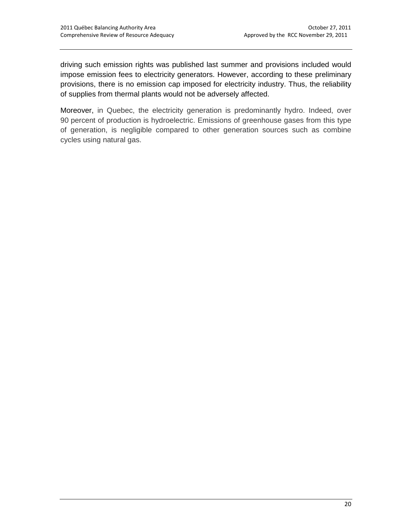driving such emission rights was published last summer and provisions included would impose emission fees to electricity generators. However, according to these preliminary provisions, there is no emission cap imposed for electricity industry. Thus, the reliability of supplies from thermal plants would not be adversely affected.

Moreover, in Quebec, the electricity generation is predominantly hydro. Indeed, over 90 percent of production is hydroelectric. Emissions of greenhouse gases from this type of generation, is negligible compared to other generation sources such as combine cycles using natural gas.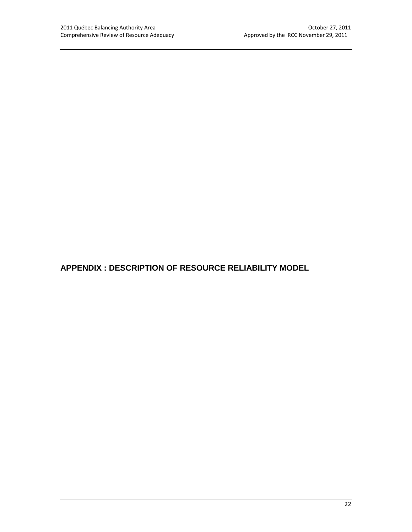**APPENDIX : DESCRIPTION OF RESOURCE RELIABILITY MODEL**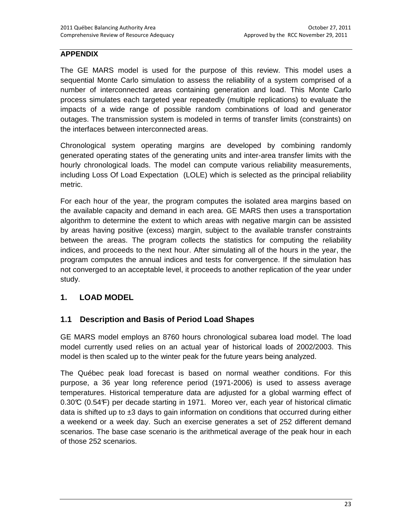### **APPENDIX**

The GE MARS model is used for the purpose of this review. This model uses a sequential Monte Carlo simulation to assess the reliability of a system comprised of a number of interconnected areas containing generation and load. This Monte Carlo process simulates each targeted year repeatedly (multiple replications) to evaluate the impacts of a wide range of possible random combinations of load and generator outages. The transmission system is modeled in terms of transfer limits (constraints) on the interfaces between interconnected areas.

Chronological system operating margins are developed by combining randomly generated operating states of the generating units and inter-area transfer limits with the hourly chronological loads. The model can compute various reliability measurements, including Loss Of Load Expectation (LOLE) which is selected as the principal reliability metric.

For each hour of the year, the program computes the isolated area margins based on the available capacity and demand in each area. GE MARS then uses a transportation algorithm to determine the extent to which areas with negative margin can be assisted by areas having positive (excess) margin, subject to the available transfer constraints between the areas. The program collects the statistics for computing the reliability indices, and proceeds to the next hour. After simulating all of the hours in the year, the program computes the annual indices and tests for convergence. If the simulation has not converged to an acceptable level, it proceeds to another replication of the year under study.

## **1. LOAD MODEL**

## **1.1 Description and Basis of Period Load Shapes**

GE MARS model employs an 8760 hours chronological subarea load model. The load model currently used relies on an actual year of historical loads of 2002/2003. This model is then scaled up to the winter peak for the future years being analyzed.

The Québec peak load forecast is based on normal weather conditions. For this purpose, a 36 year long reference period (1971-2006) is used to assess average temperatures. Historical temperature data are adjusted for a global warming effect of  $0.30\text{C}$  (0.54 $\text{F}$ ) per decade starting in 1971. Moreo ver, each year of historical climatic data is shifted up to ±3 days to gain information on conditions that occurred during either a weekend or a week day. Such an exercise generates a set of 252 different demand scenarios. The base case scenario is the arithmetical average of the peak hour in each of those 252 scenarios.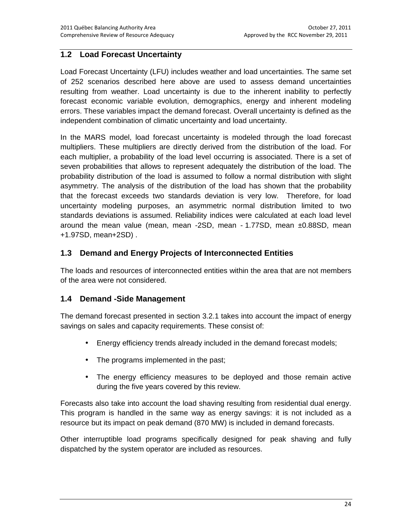## **1.2 Load Forecast Uncertainty**

Load Forecast Uncertainty (LFU) includes weather and load uncertainties. The same set of 252 scenarios described here above are used to assess demand uncertainties resulting from weather. Load uncertainty is due to the inherent inability to perfectly forecast economic variable evolution, demographics, energy and inherent modeling errors. These variables impact the demand forecast. Overall uncertainty is defined as the independent combination of climatic uncertainty and load uncertainty.

In the MARS model, load forecast uncertainty is modeled through the load forecast multipliers. These multipliers are directly derived from the distribution of the load. For each multiplier, a probability of the load level occurring is associated. There is a set of seven probabilities that allows to represent adequately the distribution of the load. The probability distribution of the load is assumed to follow a normal distribution with slight asymmetry. The analysis of the distribution of the load has shown that the probability that the forecast exceeds two standards deviation is very low. Therefore, for load uncertainty modeling purposes, an asymmetric normal distribution limited to two standards deviations is assumed. Reliability indices were calculated at each load level around the mean value (mean, mean -2SD, mean - 1.77SD, mean ±0.88SD, mean +1.97SD, mean+2SD) .

## **1.3 Demand and Energy Projects of Interconnected Entities**

The loads and resources of interconnected entities within the area that are not members of the area were not considered.

### **1.4 Demand -Side Management**

The demand forecast presented in section 3.2.1 takes into account the impact of energy savings on sales and capacity requirements. These consist of:

- Energy efficiency trends already included in the demand forecast models;
- The programs implemented in the past;
- The energy efficiency measures to be deployed and those remain active during the five years covered by this review.

Forecasts also take into account the load shaving resulting from residential dual energy. This program is handled in the same way as energy savings: it is not included as a resource but its impact on peak demand (870 MW) is included in demand forecasts.

Other interruptible load programs specifically designed for peak shaving and fully dispatched by the system operator are included as resources.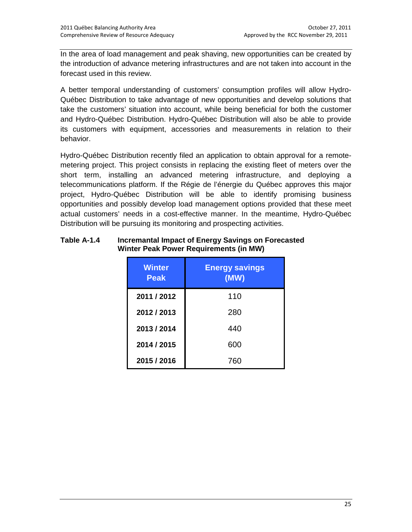In the area of load management and peak shaving, new opportunities can be created by the introduction of advance metering infrastructures and are not taken into account in the forecast used in this review.

A better temporal understanding of customers' consumption profiles will allow Hydro-Québec Distribution to take advantage of new opportunities and develop solutions that take the customers' situation into account, while being beneficial for both the customer and Hydro-Québec Distribution. Hydro-Québec Distribution will also be able to provide its customers with equipment, accessories and measurements in relation to their behavior.

Hydro-Québec Distribution recently filed an application to obtain approval for a remotemetering project. This project consists in replacing the existing fleet of meters over the short term, installing an advanced metering infrastructure, and deploying a telecommunications platform. If the Régie de l'énergie du Québec approves this major project, Hydro-Québec Distribution will be able to identify promising business opportunities and possibly develop load management options provided that these meet actual customers' needs in a cost-effective manner. In the meantime, Hydro-Québec Distribution will be pursuing its monitoring and prospecting activities.

| <b>Winter</b><br><b>Peak</b> | <b>Energy savings</b><br>(MW) |  |  |
|------------------------------|-------------------------------|--|--|
| 2011 / 2012                  | 110                           |  |  |
| 2012 / 2013                  | 280                           |  |  |
| 2013 / 2014                  | 440                           |  |  |
| 2014 / 2015                  | 600                           |  |  |
| 2015 / 2016                  | 760                           |  |  |

#### **Table A-1.4 Incremantal Impact of Energy Savings on Forecasted Winter Peak Power Requirements (in MW)**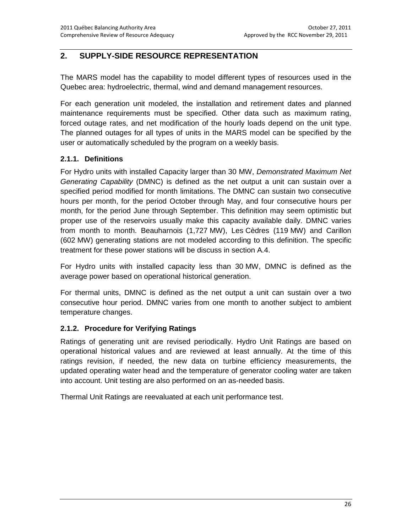## **2. SUPPLY-SIDE RESOURCE REPRESENTATION**

The MARS model has the capability to model different types of resources used in the Quebec area: hydroelectric, thermal, wind and demand management resources.

For each generation unit modeled, the installation and retirement dates and planned maintenance requirements must be specified. Other data such as maximum rating, forced outage rates, and net modification of the hourly loads depend on the unit type. The planned outages for all types of units in the MARS model can be specified by the user or automatically scheduled by the program on a weekly basis.

## **2.1.1. Definitions**

For Hydro units with installed Capacity larger than 30 MW, Demonstrated Maximum Net Generating Capability (DMNC) is defined as the net output a unit can sustain over a specified period modified for month limitations. The DMNC can sustain two consecutive hours per month, for the period October through May, and four consecutive hours per month, for the period June through September. This definition may seem optimistic but proper use of the reservoirs usually make this capacity available daily. DMNC varies from month to month. Beauharnois (1,727 MW), Les Cèdres (119 MW) and Carillon (602 MW) generating stations are not modeled according to this definition. The specific treatment for these power stations will be discuss in section A.4.

For Hydro units with installed capacity less than 30 MW, DMNC is defined as the average power based on operational historical generation.

For thermal units, DMNC is defined as the net output a unit can sustain over a two consecutive hour period. DMNC varies from one month to another subject to ambient temperature changes.

### **2.1.2. Procedure for Verifying Ratings**

Ratings of generating unit are revised periodically. Hydro Unit Ratings are based on operational historical values and are reviewed at least annually. At the time of this ratings revision, if needed, the new data on turbine efficiency measurements, the updated operating water head and the temperature of generator cooling water are taken into account. Unit testing are also performed on an as-needed basis.

Thermal Unit Ratings are reevaluated at each unit performance test.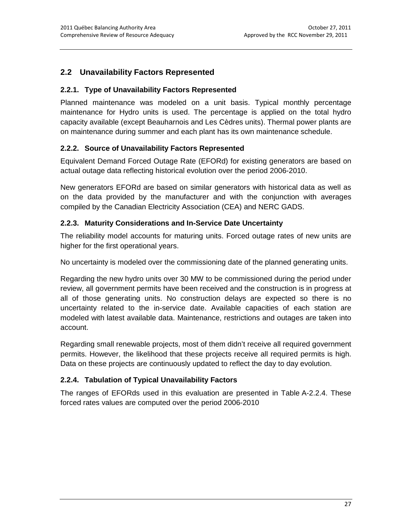## **2.2 Unavailability Factors Represented**

### **2.2.1. Type of Unavailability Factors Represented**

Planned maintenance was modeled on a unit basis. Typical monthly percentage maintenance for Hydro units is used. The percentage is applied on the total hydro capacity available (except Beauharnois and Les Cèdres units). Thermal power plants are on maintenance during summer and each plant has its own maintenance schedule.

### **2.2.2. Source of Unavailability Factors Represented**

Equivalent Demand Forced Outage Rate (EFORd) for existing generators are based on actual outage data reflecting historical evolution over the period 2006-2010.

New generators EFORd are based on similar generators with historical data as well as on the data provided by the manufacturer and with the conjunction with averages compiled by the Canadian Electricity Association (CEA) and NERC GADS.

### **2.2.3. Maturity Considerations and In-Service Date Uncertainty**

The reliability model accounts for maturing units. Forced outage rates of new units are higher for the first operational years.

No uncertainty is modeled over the commissioning date of the planned generating units.

Regarding the new hydro units over 30 MW to be commissioned during the period under review, all government permits have been received and the construction is in progress at all of those generating units. No construction delays are expected so there is no uncertainty related to the in-service date. Available capacities of each station are modeled with latest available data. Maintenance, restrictions and outages are taken into account.

Regarding small renewable projects, most of them didn't receive all required government permits. However, the likelihood that these projects receive all required permits is high. Data on these projects are continuously updated to reflect the day to day evolution.

### **2.2.4. Tabulation of Typical Unavailability Factors**

The ranges of EFORds used in this evaluation are presented in Table A-2.2.4. These forced rates values are computed over the period 2006-2010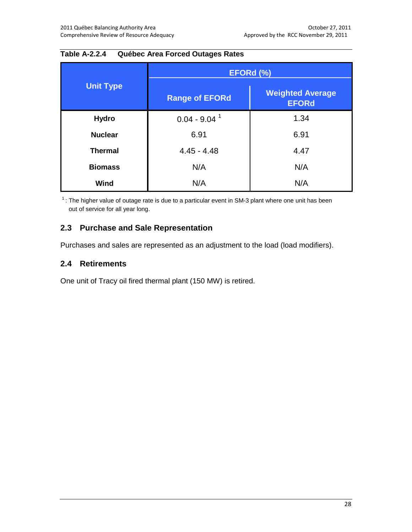|                  | $EFORd$ $(\%)$             |                                         |  |  |
|------------------|----------------------------|-----------------------------------------|--|--|
| <b>Unit Type</b> | <b>Range of EFORd</b>      | <b>Weighted Average</b><br><b>EFORd</b> |  |  |
| <b>Hydro</b>     | $0.04 - 9.04$ <sup>1</sup> | 1.34                                    |  |  |
| <b>Nuclear</b>   | 6.91                       | 6.91                                    |  |  |
| <b>Thermal</b>   | $4.45 - 4.48$              | 4.47                                    |  |  |
| <b>Biomass</b>   | N/A                        | N/A                                     |  |  |
| Wind             | N/A                        | N/A                                     |  |  |

### **Table A-2.2.4 Québec Area Forced Outages Rates**

 $1$ : The higher value of outage rate is due to a particular event in SM-3 plant where one unit has been out of service for all year long.

## **2.3 Purchase and Sale Representation**

Purchases and sales are represented as an adjustment to the load (load modifiers).

## **2.4 Retirements**

One unit of Tracy oil fired thermal plant (150 MW) is retired.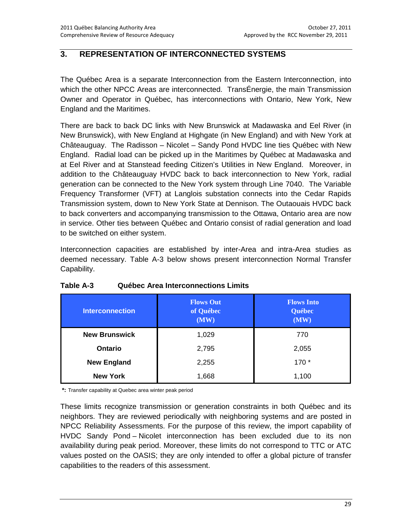## **3. REPRESENTATION OF INTERCONNECTED SYSTEMS**

The Québec Area is a separate Interconnection from the Eastern Interconnection, into which the other NPCC Areas are interconnected. TransÉnergie, the main Transmission Owner and Operator in Québec, has interconnections with Ontario, New York, New England and the Maritimes.

There are back to back DC links with New Brunswick at Madawaska and Eel River (in New Brunswick), with New England at Highgate (in New England) and with New York at Châteauguay. The Radisson – Nicolet – Sandy Pond HVDC line ties Québec with New England. Radial load can be picked up in the Maritimes by Québec at Madawaska and at Eel River and at Stanstead feeding Citizen's Utilities in New England. Moreover, in addition to the Châteauguay HVDC back to back interconnection to New York, radial generation can be connected to the New York system through Line 7040. The Variable Frequency Transformer (VFT) at Langlois substation connects into the Cedar Rapids Transmission system, down to New York State at Dennison. The Outaouais HVDC back to back converters and accompanying transmission to the Ottawa, Ontario area are now in service. Other ties between Québec and Ontario consist of radial generation and load to be switched on either system.

Interconnection capacities are established by inter-Area and intra-Area studies as deemed necessary. Table A-3 below shows present interconnection Normal Transfer Capability.

| <b>Interconnection</b> | <b>Flows Out</b><br>of Québec<br>(MW) | <b>Flows Into</b><br>Québec<br>(MW) |  |
|------------------------|---------------------------------------|-------------------------------------|--|
| <b>New Brunswick</b>   | 1,029                                 | 770                                 |  |
| <b>Ontario</b>         | 2,795                                 | 2,055                               |  |
| <b>New England</b>     | 2,255                                 | $170*$                              |  |
| <b>New York</b>        | 1,668                                 | 1,100                               |  |

## **Table A-3 Québec Area Interconnections Limits**

**\*:** Transfer capability at Quebec area winter peak period

These limits recognize transmission or generation constraints in both Québec and its neighbors. They are reviewed periodically with neighboring systems and are posted in NPCC Reliability Assessments. For the purpose of this review, the import capability of HVDC Sandy Pond – Nicolet interconnection has been excluded due to its non availability during peak period. Moreover, these limits do not correspond to TTC or ATC values posted on the OASIS; they are only intended to offer a global picture of transfer capabilities to the readers of this assessment.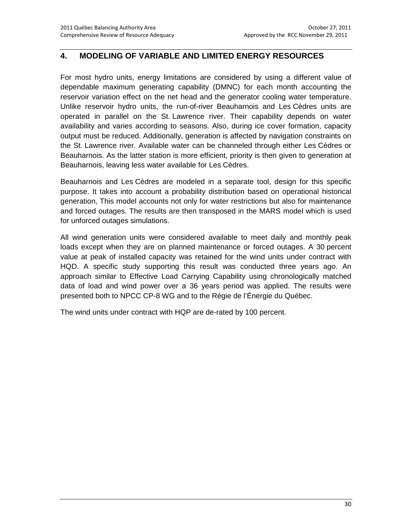## **4. MODELING OF VARIABLE AND LIMITED ENERGY RESOURCES**

For most hydro units, energy limitations are considered by using a different value of dependable maximum generating capability (DMNC) for each month accounting the reservoir variation effect on the net head and the generator cooling water temperature. Unlike reservoir hydro units, the run-of-river Beauharnois and Les Cèdres units are operated in parallel on the St. Lawrence river. Their capability depends on water availability and varies according to seasons. Also, during ice cover formation, capacity output must be reduced. Additionally, generation is affected by navigation constraints on the St. Lawrence river. Available water can be channeled through either Les Cèdres or Beauharnois. As the latter station is more efficient, priority is then given to generation at Beauharnois, leaving less water available for Les Cèdres.

Beauharnois and Les Cèdres are modeled in a separate tool, design for this specific purpose. It takes into account a probability distribution based on operational historical generation, This model accounts not only for water restrictions but also for maintenance and forced outages. The results are then transposed in the MARS model which is used for unforced outages simulations.

All wind generation units were considered available to meet daily and monthly peak loads except when they are on planned maintenance or forced outages. A 30 percent value at peak of installed capacity was retained for the wind units under contract with HQD. A specific study supporting this result was conducted three years ago. An approach similar to Effective Load Carrying Capability using chronologically matched data of load and wind power over a 36 years period was applied. The results were presented both to NPCC CP-8 WG and to the Régie de l'Énergie du Québec.

The wind units under contract with HQP are de-rated by 100 percent.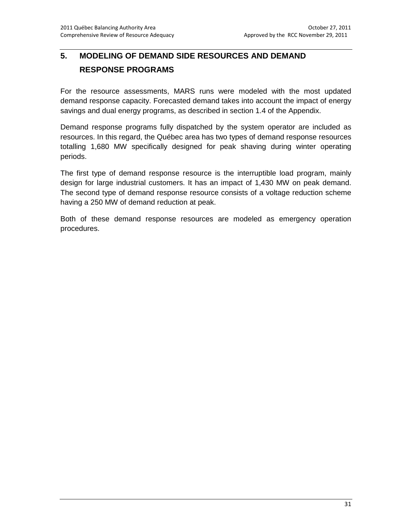# **5. MODELING OF DEMAND SIDE RESOURCES AND DEMAND RESPONSE PROGRAMS**

For the resource assessments, MARS runs were modeled with the most updated demand response capacity. Forecasted demand takes into account the impact of energy savings and dual energy programs, as described in section 1.4 of the Appendix.

Demand response programs fully dispatched by the system operator are included as resources. In this regard, the Québec area has two types of demand response resources totalling 1,680 MW specifically designed for peak shaving during winter operating periods.

The first type of demand response resource is the interruptible load program, mainly design for large industrial customers. It has an impact of 1,430 MW on peak demand. The second type of demand response resource consists of a voltage reduction scheme having a 250 MW of demand reduction at peak.

Both of these demand response resources are modeled as emergency operation procedures.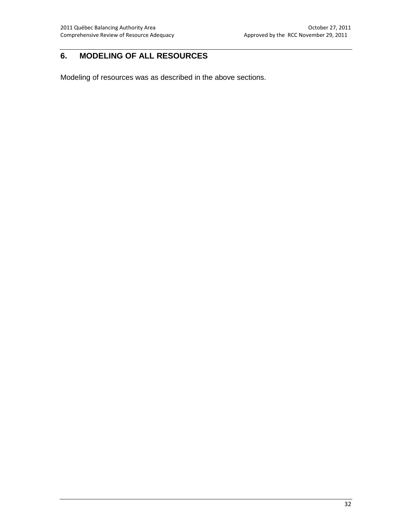## **6. MODELING OF ALL RESOURCES**

Modeling of resources was as described in the above sections.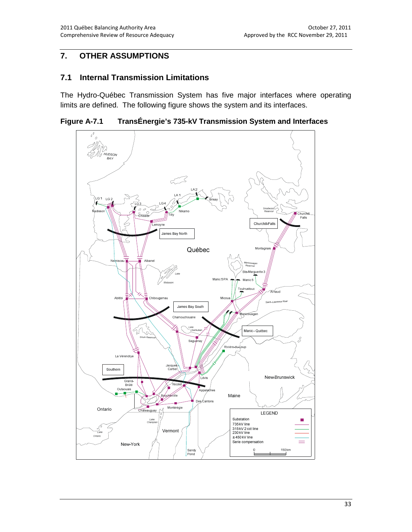## **7. OTHER ASSUMPTIONS**

### **7.1 Internal Transmission Limitations**

The Hydro-Québec Transmission System has five major interfaces where operating limits are defined. The following figure shows the system and its interfaces.

**Figure A-7.1 TransÉnergie's 735-kV Transmission System and Interfaces** 

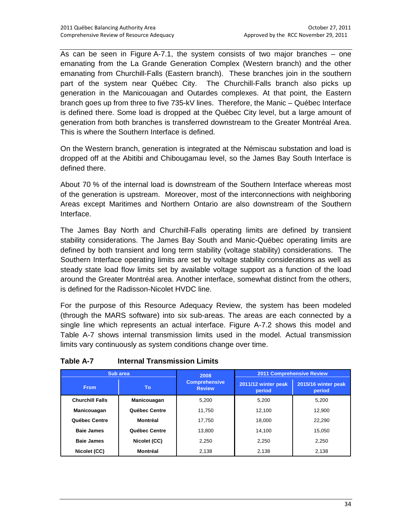As can be seen in Figure A-7.1, the system consists of two major branches – one emanating from the La Grande Generation Complex (Western branch) and the other emanating from Churchill-Falls (Eastern branch). These branches join in the southern part of the system near Québec City. The Churchill-Falls branch also picks up generation in the Manicouagan and Outardes complexes. At that point, the Eastern branch goes up from three to five 735-kV lines. Therefore, the Manic – Québec Interface is defined there. Some load is dropped at the Québec City level, but a large amount of generation from both branches is transferred downstream to the Greater Montréal Area. This is where the Southern Interface is defined.

On the Western branch, generation is integrated at the Némiscau substation and load is dropped off at the Abitibi and Chibougamau level, so the James Bay South Interface is defined there.

About 70 % of the internal load is downstream of the Southern Interface whereas most of the generation is upstream. Moreover, most of the interconnections with neighboring Areas except Maritimes and Northern Ontario are also downstream of the Southern Interface.

The James Bay North and Churchill-Falls operating limits are defined by transient stability considerations. The James Bay South and Manic-Québec operating limits are defined by both transient and long term stability (voltage stability) considerations. The Southern Interface operating limits are set by voltage stability considerations as well as steady state load flow limits set by available voltage support as a function of the load around the Greater Montréal area. Another interface, somewhat distinct from the others, is defined for the Radisson-Nicolet HVDC line.

For the purpose of this Resource Adequacy Review, the system has been modeled (through the MARS software) into six sub-areas. The areas are each connected by a single line which represents an actual interface. Figure A-7.2 shows this model and Table A-7 shows internal transmission limits used in the model. Actual transmission limits vary continuously as system conditions change over time.

|                        | Sub area      | 2008<br><b>Comprehensive</b><br><b>Review</b> | <b>2011 Comprehensive Review</b> |                               |  |
|------------------------|---------------|-----------------------------------------------|----------------------------------|-------------------------------|--|
| <b>From</b>            | To            |                                               | 2011/12 winter peak<br>period    | 2015/16 winter peak<br>period |  |
| <b>Churchill Falls</b> | Manicouagan   | 5.200                                         | 5.200                            | 5.200                         |  |
| <b>Manicouagan</b>     | Québec Centre | 11,750                                        | 12.100                           | 12.900                        |  |
| Québec Centre          | Montréal      | 17.750                                        | 18.000                           | 22.290                        |  |
| <b>Baie James</b>      | Québec Centre | 13.800                                        | 14.100                           | 15.050                        |  |
| <b>Baie James</b>      | Nicolet (CC)  | 2.250                                         | 2.250                            | 2.250                         |  |
| Nicolet (CC)           | Montréal      | 2.138                                         | 2.138                            | 2.138                         |  |

### **Table A-7 Internal Transmission Limits**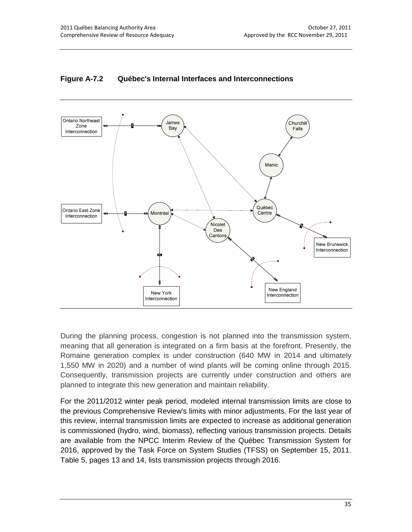

### **Figure A-7.2 Québec's Internal Interfaces and Interconnections**

During the planning process, congestion is not planned into the transmission system, meaning that all generation is integrated on a firm basis at the forefront. Presently, the Romaine generation complex is under construction (640 MW in 2014 and ultimately 1,550 MW in 2020) and a number of wind plants will be coming online through 2015. Consequently, transmission projects are currently under construction and others are planned to integrate this new generation and maintain reliability.

For the 2011/2012 winter peak period, modeled internal transmission limits are close to the previous Comprehensive Review's limits with minor adjustments. For the last year of this review, internal transmission limits are expected to increase as additional generation is commissioned (hydro, wind, biomass), reflecting various transmission projects. Details are available from the NPCC Interim Review of the Québec Transmission System for 2016, approved by the Task Force on System Studies (TFSS) on September 15, 2011. Table 5, pages 13 and 14, lists transmission projects through 2016.